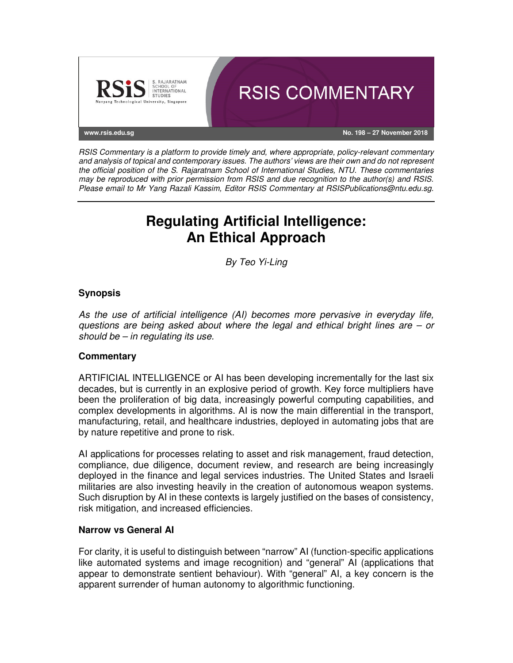

RSIS Commentary is a platform to provide timely and, where appropriate, policy-relevant commentary and analysis of topical and contemporary issues. The authors' views are their own and do not represent the official position of the S. Rajaratnam School of International Studies, NTU. These commentaries may be reproduced with prior permission from RSIS and due recognition to the author(s) and RSIS. Please email to Mr Yang Razali Kassim, Editor RSIS Commentary at RSISPublications@ntu.edu.sg.

# **Regulating Artificial Intelligence: An Ethical Approach**

By Teo Yi-Ling

## **Synopsis**

As the use of artificial intelligence (AI) becomes more pervasive in everyday life, questions are being asked about where the legal and ethical bright lines are – or should be  $-$  in regulating its use.

## **Commentary**

ARTIFICIAL INTELLIGENCE or AI has been developing incrementally for the last six decades, but is currently in an explosive period of growth. Key force multipliers have been the proliferation of big data, increasingly powerful computing capabilities, and complex developments in algorithms. AI is now the main differential in the transport, manufacturing, retail, and healthcare industries, deployed in automating jobs that are by nature repetitive and prone to risk.

AI applications for processes relating to asset and risk management, fraud detection, compliance, due diligence, document review, and research are being increasingly deployed in the finance and legal services industries. The United States and Israeli militaries are also investing heavily in the creation of autonomous weapon systems. Such disruption by AI in these contexts is largely justified on the bases of consistency, risk mitigation, and increased efficiencies.

### **Narrow vs General AI**

For clarity, it is useful to distinguish between "narrow" AI (function-specific applications like automated systems and image recognition) and "general" AI (applications that appear to demonstrate sentient behaviour). With "general" AI, a key concern is the apparent surrender of human autonomy to algorithmic functioning.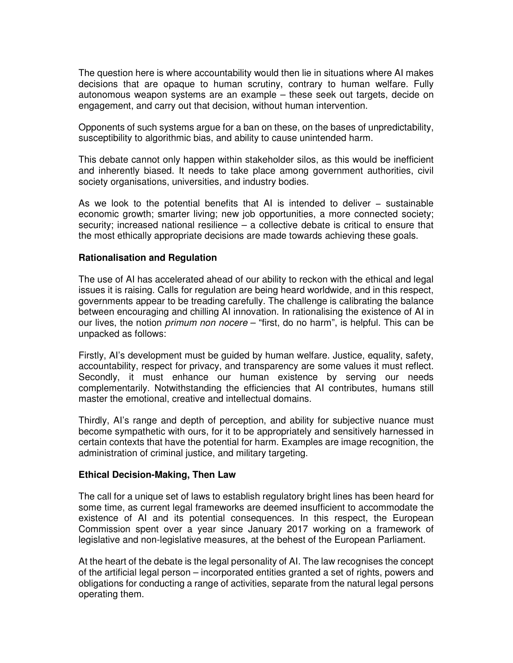The question here is where accountability would then lie in situations where AI makes decisions that are opaque to human scrutiny, contrary to human welfare. Fully autonomous weapon systems are an example – these seek out targets, decide on engagement, and carry out that decision, without human intervention.

Opponents of such systems argue for a ban on these, on the bases of unpredictability, susceptibility to algorithmic bias, and ability to cause unintended harm.

This debate cannot only happen within stakeholder silos, as this would be inefficient and inherently biased. It needs to take place among government authorities, civil society organisations, universities, and industry bodies.

As we look to the potential benefits that AI is intended to deliver − sustainable economic growth; smarter living; new job opportunities, a more connected society; security; increased national resilience – a collective debate is critical to ensure that the most ethically appropriate decisions are made towards achieving these goals.

#### **Rationalisation and Regulation**

The use of AI has accelerated ahead of our ability to reckon with the ethical and legal issues it is raising. Calls for regulation are being heard worldwide, and in this respect, governments appear to be treading carefully. The challenge is calibrating the balance between encouraging and chilling AI innovation. In rationalising the existence of AI in our lives, the notion *primum non nocere* – "first, do no harm", is helpful. This can be unpacked as follows:

Firstly, AI's development must be guided by human welfare. Justice, equality, safety, accountability, respect for privacy, and transparency are some values it must reflect. Secondly, it must enhance our human existence by serving our needs complementarily. Notwithstanding the efficiencies that AI contributes, humans still master the emotional, creative and intellectual domains.

Thirdly, AI's range and depth of perception, and ability for subjective nuance must become sympathetic with ours, for it to be appropriately and sensitively harnessed in certain contexts that have the potential for harm. Examples are image recognition, the administration of criminal justice, and military targeting.

### **Ethical Decision-Making, Then Law**

The call for a unique set of laws to establish regulatory bright lines has been heard for some time, as current legal frameworks are deemed insufficient to accommodate the existence of AI and its potential consequences. In this respect, the European Commission spent over a year since January 2017 working on a framework of legislative and non-legislative measures, at the behest of the European Parliament.

At the heart of the debate is the legal personality of AI. The law recognises the concept of the artificial legal person – incorporated entities granted a set of rights, powers and obligations for conducting a range of activities, separate from the natural legal persons operating them.